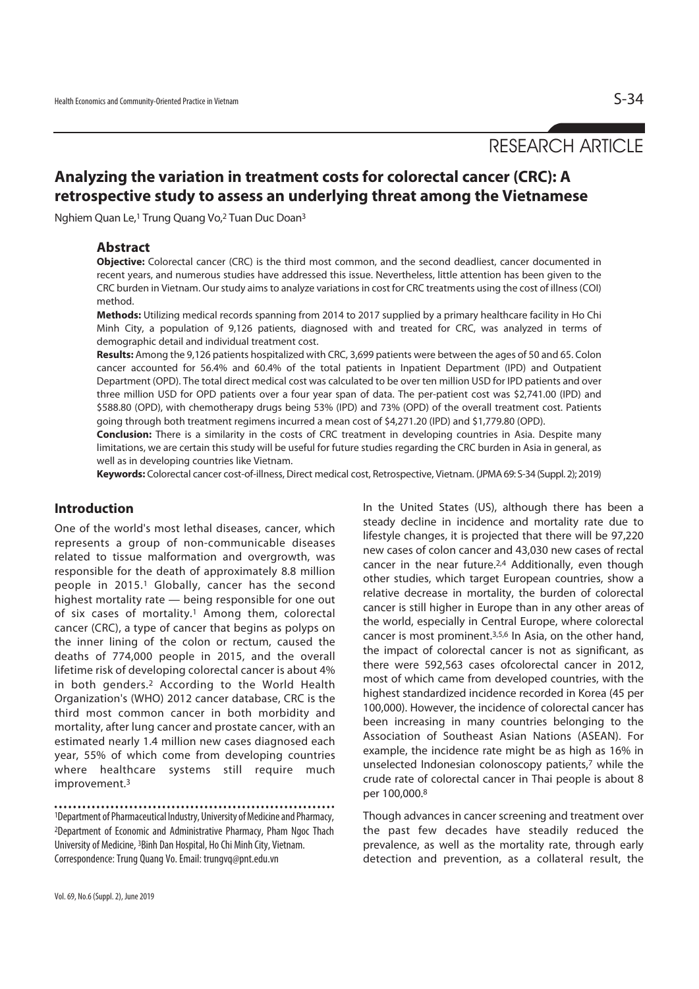# RESEARCH ARTICLE

# **Analyzing the variation in treatment costs for colorectal cancer (CRC): A retrospective study to assess an underlying threat among the Vietnamese**

Nghiem Quan Le,1 Trung Quang Vo,2 Tuan Duc Doan3

#### **Abstract**

**Objective:** Colorectal cancer (CRC) is the third most common, and the second deadliest, cancer documented in recent years, and numerous studies have addressed this issue. Nevertheless, little attention has been given to the CRC burden in Vietnam. Our study aims to analyze variations in cost for CRC treatments using the cost of illness (COI) method.

**Methods:** Utilizing medical records spanning from 2014 to 2017 supplied by a primary healthcare facility in Ho Chi Minh City, a population of 9,126 patients, diagnosed with and treated for CRC, was analyzed in terms of demographic detail and individual treatment cost.

**Results:** Among the 9,126 patients hospitalized with CRC, 3,699 patients were between the ages of 50 and 65. Colon cancer accounted for 56.4% and 60.4% of the total patients in Inpatient Department (IPD) and Outpatient Department (OPD). The total direct medical cost was calculated to be over ten million USD for IPD patients and over three million USD for OPD patients over a four year span of data. The per-patient cost was \$2,741.00 (IPD) and \$588.80 (OPD), with chemotherapy drugs being 53% (IPD) and 73% (OPD) of the overall treatment cost. Patients going through both treatment regimens incurred a mean cost of \$4,271.20 (IPD) and \$1,779.80 (OPD).

**Conclusion:** There is a similarity in the costs of CRC treatment in developing countries in Asia. Despite many limitations, we are certain this study will be useful for future studies regarding the CRC burden in Asia in general, as well as in developing countries like Vietnam.

**Keywords:** Colorectal cancer cost-of-illness, Direct medical cost, Retrospective, Vietnam. (JPMA 69: S-34 (Suppl. 2); 2019)

## **Introduction**

One of the world's most lethal diseases, cancer, which represents a group of non-communicable diseases related to tissue malformation and overgrowth, was responsible for the death of approximately 8.8 million people in 2015.<sup>1</sup> Globally, cancer has the second highest mortality rate — being responsible for one out of six cases of mortality.<sup>1</sup> Among them, colorectal cancer (CRC), a type of cancer that begins as polyps on the inner lining of the colon or rectum, caused the deaths of 774,000 people in 2015, and the overall lifetime risk of developing colorectal cancer is about 4% in both genders.2 According to the World Health Organization's (WHO) 2012 cancer database, CRC is the third most common cancer in both morbidity and mortality, after lung cancer and prostate cancer, with an estimated nearly 1.4 million new cases diagnosed each year, 55% of which come from developing countries where healthcare systems still require much improvement.3

1Department of Pharmaceutical Industry, University of Medicine and Pharmacy, 2Department of Economic and Administrative Pharmacy, Pham Ngoc Thach University of Medicine, 3Binh Dan Hospital, Ho Chi Minh City, Vietnam. Correspondence: Trung Quang Vo. Email: trungvq@pnt.edu.vn

In the United States (US), although there has been a steady decline in incidence and mortality rate due to lifestyle changes, it is projected that there will be 97,220 new cases of colon cancer and 43,030 new cases of rectal cancer in the near future.2,4 Additionally, even though other studies, which target European countries, show a relative decrease in mortality, the burden of colorectal cancer is still higher in Europe than in any other areas of the world, especially in Central Europe, where colorectal cancer is most prominent.3,5,6 In Asia, on the other hand, the impact of colorectal cancer is not as significant, as there were 592,563 cases ofcolorectal cancer in 2012, most of which came from developed countries, with the highest standardized incidence recorded in Korea (45 per 100,000). However, the incidence of colorectal cancer has been increasing in many countries belonging to the Association of Southeast Asian Nations (ASEAN). For example, the incidence rate might be as high as 16% in unselected Indonesian colonoscopy patients,7 while the crude rate of colorectal cancer in Thai people is about 8 per 100,000.8

Though advances in cancer screening and treatment over the past few decades have steadily reduced the prevalence, as well as the mortality rate, through early detection and prevention, as a collateral result, the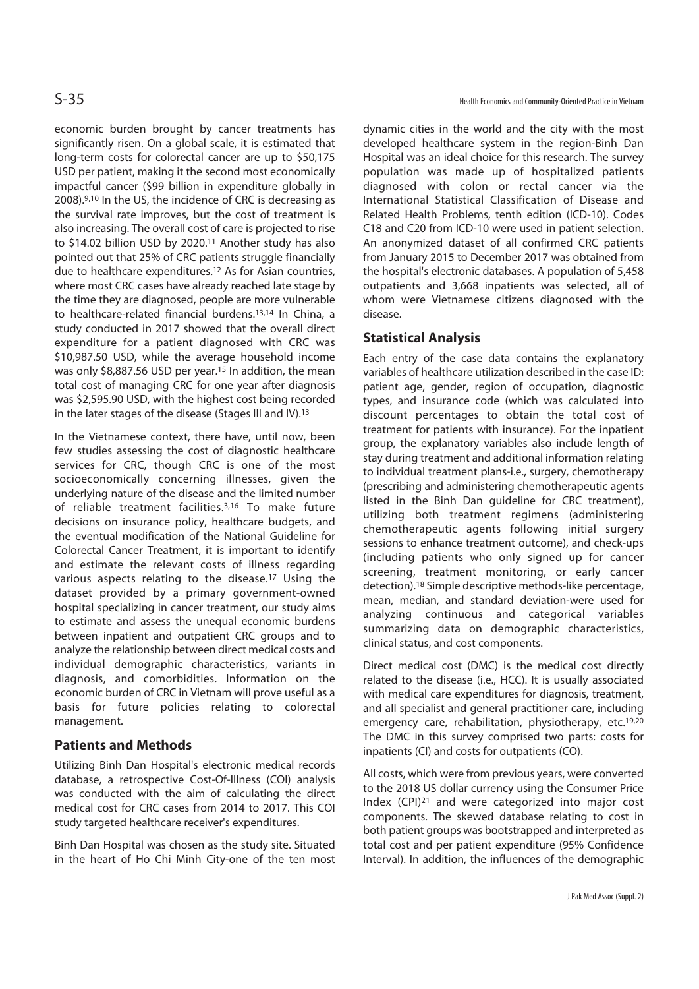economic burden brought by cancer treatments has significantly risen. On a global scale, it is estimated that long-term costs for colorectal cancer are up to \$50,175 USD per patient, making it the second most economically impactful cancer (\$99 billion in expenditure globally in 2008).9,10 In the US, the incidence of CRC is decreasing as the survival rate improves, but the cost of treatment is also increasing. The overall cost of care is projected to rise to \$14.02 billion USD by 2020.11 Another study has also pointed out that 25% of CRC patients struggle financially due to healthcare expenditures.12 As for Asian countries, where most CRC cases have already reached late stage by the time they are diagnosed, people are more vulnerable to healthcare-related financial burdens.13,14 In China, a study conducted in 2017 showed that the overall direct expenditure for a patient diagnosed with CRC was \$10,987.50 USD, while the average household income was only \$8,887.56 USD per year.15 In addition, the mean total cost of managing CRC for one year after diagnosis was \$2,595.90 USD, with the highest cost being recorded in the later stages of the disease (Stages III and IV).13

In the Vietnamese context, there have, until now, been few studies assessing the cost of diagnostic healthcare services for CRC, though CRC is one of the most socioeconomically concerning illnesses, given the underlying nature of the disease and the limited number of reliable treatment facilities.3,16 To make future decisions on insurance policy, healthcare budgets, and the eventual modification of the National Guideline for Colorectal Cancer Treatment, it is important to identify and estimate the relevant costs of illness regarding various aspects relating to the disease.17 Using the dataset provided by a primary government-owned hospital specializing in cancer treatment, our study aims to estimate and assess the unequal economic burdens between inpatient and outpatient CRC groups and to analyze the relationship between direct medical costs and individual demographic characteristics, variants in diagnosis, and comorbidities. Information on the economic burden of CRC in Vietnam will prove useful as a basis for future policies relating to colorectal management.

# **Patients and Methods**

Utilizing Binh Dan Hospital's electronic medical records database, a retrospective Cost-Of-Illness (COI) analysis was conducted with the aim of calculating the direct medical cost for CRC cases from 2014 to 2017. This COI study targeted healthcare receiver's expenditures.

Binh Dan Hospital was chosen as the study site. Situated in the heart of Ho Chi Minh City-one of the ten most

dynamic cities in the world and the city with the most developed healthcare system in the region-Binh Dan Hospital was an ideal choice for this research. The survey population was made up of hospitalized patients diagnosed with colon or rectal cancer via the International Statistical Classification of Disease and Related Health Problems, tenth edition (ICD-10). Codes C18 and C20 from ICD-10 were used in patient selection. An anonymized dataset of all confirmed CRC patients from January 2015 to December 2017 was obtained from the hospital's electronic databases. A population of 5,458 outpatients and 3,668 inpatients was selected, all of whom were Vietnamese citizens diagnosed with the disease.

# **Statistical Analysis**

Each entry of the case data contains the explanatory variables of healthcare utilization described in the case ID: patient age, gender, region of occupation, diagnostic types, and insurance code (which was calculated into discount percentages to obtain the total cost of treatment for patients with insurance). For the inpatient group, the explanatory variables also include length of stay during treatment and additional information relating to individual treatment plans-i.e., surgery, chemotherapy (prescribing and administering chemotherapeutic agents listed in the Binh Dan guideline for CRC treatment), utilizing both treatment regimens (administering chemotherapeutic agents following initial surgery sessions to enhance treatment outcome), and check-ups (including patients who only signed up for cancer screening, treatment monitoring, or early cancer detection).18 Simple descriptive methods-like percentage, mean, median, and standard deviation-were used for analyzing continuous and categorical variables summarizing data on demographic characteristics, clinical status, and cost components.

Direct medical cost (DMC) is the medical cost directly related to the disease (i.e., HCC). It is usually associated with medical care expenditures for diagnosis, treatment, and all specialist and general practitioner care, including emergency care, rehabilitation, physiotherapy, etc.<sup>19,20</sup> The DMC in this survey comprised two parts: costs for inpatients (CI) and costs for outpatients (CO).

All costs, which were from previous years, were converted to the 2018 US dollar currency using the Consumer Price Index (CPI)21 and were categorized into major cost components. The skewed database relating to cost in both patient groups was bootstrapped and interpreted as total cost and per patient expenditure (95% Confidence Interval). In addition, the influences of the demographic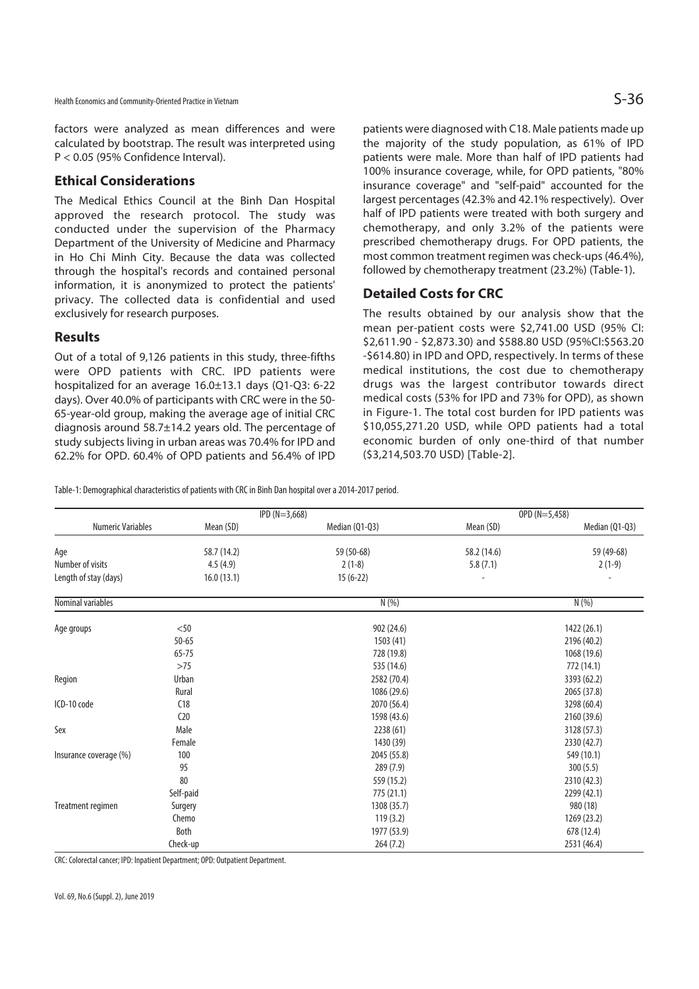factors were analyzed as mean differences and were calculated by bootstrap. The result was interpreted using P < 0.05 (95% Confidence Interval).

#### **Ethical Considerations**

The Medical Ethics Council at the Binh Dan Hospital approved the research protocol. The study was conducted under the supervision of the Pharmacy Department of the University of Medicine and Pharmacy in Ho Chi Minh City. Because the data was collected through the hospital's records and contained personal information, it is anonymized to protect the patients' privacy. The collected data is confidential and used exclusively for research purposes.

#### **Results**

Out of a total of 9,126 patients in this study, three-fifths were OPD patients with CRC. IPD patients were hospitalized for an average 16.0±13.1 days (Q1-Q3: 6-22 days). Over 40.0% of participants with CRC were in the 50- 65-year-old group, making the average age of initial CRC diagnosis around 58.7±14.2 years old. The percentage of study subjects living in urban areas was 70.4% for IPD and 62.2% for OPD. 60.4% of OPD patients and 56.4% of IPD patients were diagnosed with C18. Male patients made up the majority of the study population, as 61% of IPD patients were male. More than half of IPD patients had 100% insurance coverage, while, for OPD patients, "80% insurance coverage" and "self-paid" accounted for the largest percentages (42.3% and 42.1% respectively). Over half of IPD patients were treated with both surgery and chemotherapy, and only 3.2% of the patients were prescribed chemotherapy drugs. For OPD patients, the most common treatment regimen was check-ups (46.4%), followed by chemotherapy treatment (23.2%) (Table-1).

### **Detailed Costs for CRC**

The results obtained by our analysis show that the mean per-patient costs were \$2,741.00 USD (95% CI: \$2,611.90 - \$2,873.30) and \$588.80 USD (95%CI:\$563.20 -\$614.80) in IPD and OPD, respectively. In terms of these medical institutions, the cost due to chemotherapy drugs was the largest contributor towards direct medical costs (53% for IPD and 73% for OPD), as shown in Figure-1. The total cost burden for IPD patients was \$10,055,271.20 USD, while OPD patients had a total economic burden of only one-third of that number (\$3,214,503.70 USD) [Table-2].

Table-1: Demographical characteristics of patients with CRC in Binh Dan hospital over a 2014-2017 period.

|                          |                 | $IPD(N=3,668)$ | OPD (N=5,458) |                |  |
|--------------------------|-----------------|----------------|---------------|----------------|--|
| <b>Numeric Variables</b> | Mean (SD)       | Median (Q1-Q3) | Mean (SD)     | Median (Q1-Q3) |  |
| Age                      | 58.7 (14.2)     | 59 (50-68)     | 58.2 (14.6)   | 59 (49-68)     |  |
| Number of visits         | 4.5(4.9)        | $2(1-8)$       | 5.8(7.1)      | $2(1-9)$       |  |
| Length of stay (days)    | 16.0(13.1)      | $15(6-22)$     |               |                |  |
| Nominal variables        |                 | N(%)           |               | N(% )          |  |
| Age groups               | < 50            | 902 (24.6)     |               | 1422 (26.1)    |  |
|                          | $50 - 65$       | 1503 (41)      |               | 2196 (40.2)    |  |
|                          | $65 - 75$       | 728 (19.8)     |               | 1068 (19.6)    |  |
|                          | >75             | 535 (14.6)     |               | 772 (14.1)     |  |
| Region                   | Urban           | 2582 (70.4)    |               | 3393 (62.2)    |  |
|                          | Rural           | 1086 (29.6)    |               | 2065 (37.8)    |  |
| ICD-10 code              | C18             | 2070 (56.4)    |               | 3298 (60.4)    |  |
|                          | C <sub>20</sub> | 1598 (43.6)    |               | 2160 (39.6)    |  |
| Sex                      | Male            | 2238 (61)      |               | 3128 (57.3)    |  |
|                          | Female          | 1430 (39)      |               | 2330 (42.7)    |  |
| Insurance coverage (%)   | 100             | 2045 (55.8)    |               | 549 (10.1)     |  |
|                          | 95              | 289 (7.9)      |               | 300(5.5)       |  |
|                          | 80              | 559 (15.2)     |               | 2310 (42.3)    |  |
|                          | Self-paid       | 775(21.1)      |               | 2299 (42.1)    |  |
| Treatment regimen        | Surgery         | 1308 (35.7)    |               | 980 (18)       |  |
|                          | Chemo           | 119(3.2)       |               | 1269 (23.2)    |  |
|                          | Both            | 1977 (53.9)    |               | 678 (12.4)     |  |
|                          | Check-up        | 264(7.2)       |               | 2531 (46.4)    |  |

CRC: Colorectal cancer; IPD: Inpatient Department; OPD: Outpatient Department.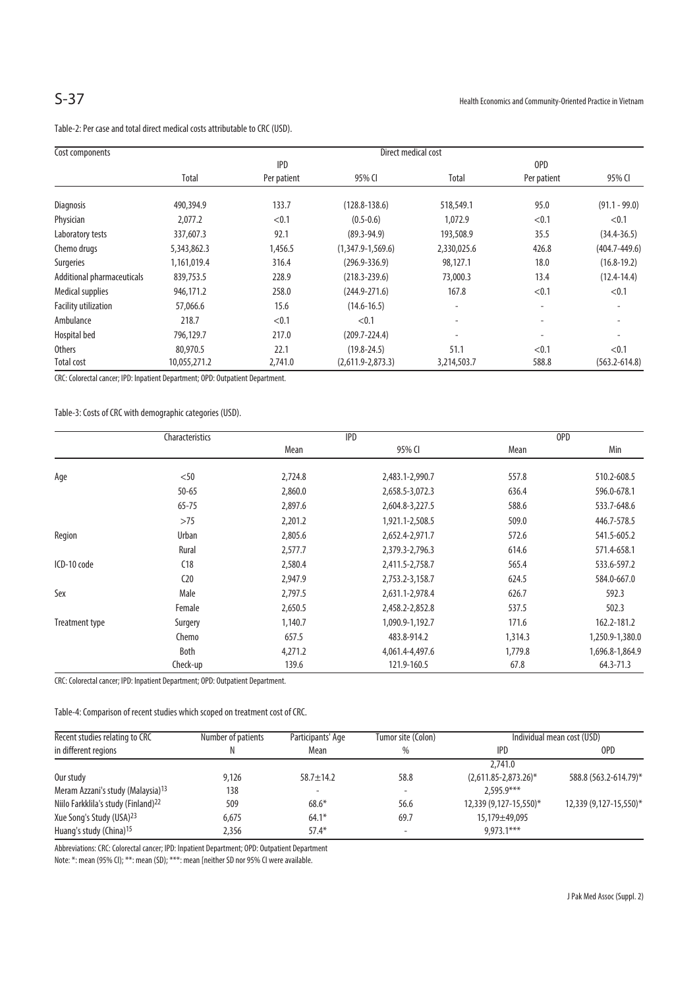| Cost components             | Direct medical cost |             |                     |                          |                          |                   |  |
|-----------------------------|---------------------|-------------|---------------------|--------------------------|--------------------------|-------------------|--|
|                             | <b>IPD</b>          |             |                     | OPD                      |                          |                   |  |
|                             | Total               | Per patient | 95% CI              | Total                    | Per patient              | 95% CI            |  |
| Diagnosis                   | 490,394.9           | 133.7       | $(128.8 - 138.6)$   | 518,549.1                | 95.0                     | $(91.1 - 99.0)$   |  |
| Physician                   | 2,077.2             | < 0.1       | $(0.5 - 0.6)$       | 1,072.9                  | < 0.1                    | < 0.1             |  |
| Laboratory tests            | 337,607.3           | 92.1        | $(89.3 - 94.9)$     | 193,508.9                | 35.5                     | $(34.4 - 36.5)$   |  |
| Chemo drugs                 | 5,343,862.3         | 1,456.5     | $(1,347.9-1,569.6)$ | 2,330,025.6              | 426.8                    | $(404.7 - 449.6)$ |  |
| Surgeries                   | 1,161,019.4         | 316.4       | $(296.9 - 336.9)$   | 98,127.1                 | 18.0                     | $(16.8 - 19.2)$   |  |
| Additional pharmaceuticals  | 839,753.5           | 228.9       | $(218.3 - 239.6)$   | 73,000.3                 | 13.4                     | $(12.4 - 14.4)$   |  |
| <b>Medical supplies</b>     | 946,171.2           | 258.0       | $(244.9 - 271.6)$   | 167.8                    | < 0.1                    | < 0.1             |  |
| <b>Facility utilization</b> | 57,066.6            | 15.6        | $(14.6 - 16.5)$     | $\overline{\phantom{a}}$ | -                        |                   |  |
| Ambulance                   | 218.7               | < 0.1       | < 0.1               | ٠                        | $\overline{\phantom{a}}$ |                   |  |
| Hospital bed                | 796,129.7           | 217.0       | $(209.7 - 224.4)$   | $\overline{\phantom{a}}$ | $\overline{\phantom{a}}$ |                   |  |
| <b>Others</b>               | 80,970.5            | 22.1        | $(19.8 - 24.5)$     | 51.1                     | < 0.1                    | < 0.1             |  |
| Total cost                  | 10,055,271.2        | 2,741.0     | $(2,611.9-2,873.3)$ | 3,214,503.7              | 588.8                    | $(563.2 - 614.8)$ |  |

Table-2: Per case and total direct medical costs attributable to CRC (USD).

CRC: Colorectal cancer; IPD: Inpatient Department; OPD: Outpatient Department.

Table-3: Costs of CRC with demographic categories (USD).

|                | Characteristics |         | <b>IPD</b>      |         | OPD             |
|----------------|-----------------|---------|-----------------|---------|-----------------|
|                |                 | Mean    | 95% CI          | Mean    | Min             |
|                |                 |         |                 |         |                 |
| Age            | $50$            | 2,724.8 | 2,483.1-2,990.7 | 557.8   | 510.2-608.5     |
|                | $50 - 65$       | 2,860.0 | 2,658.5-3,072.3 | 636.4   | 596.0-678.1     |
|                | $65 - 75$       | 2,897.6 | 2,604.8-3,227.5 | 588.6   | 533.7-648.6     |
|                | >75             | 2,201.2 | 1,921.1-2,508.5 | 509.0   | 446.7-578.5     |
| Region         | <b>Urban</b>    | 2,805.6 | 2,652.4-2,971.7 | 572.6   | 541.5-605.2     |
|                | Rural           | 2,577.7 | 2,379.3-2,796.3 | 614.6   | 571.4-658.1     |
| ICD-10 code    | C18             | 2,580.4 | 2,411.5-2,758.7 | 565.4   | 533.6-597.2     |
|                | C <sub>20</sub> | 2,947.9 | 2,753.2-3,158.7 | 624.5   | 584.0-667.0     |
| Sex            | Male            | 2,797.5 | 2,631.1-2,978.4 | 626.7   | 592.3           |
|                | Female          | 2,650.5 | 2,458.2-2,852.8 | 537.5   | 502.3           |
| Treatment type | Surgery         | 1,140.7 | 1,090.9-1,192.7 | 171.6   | 162.2-181.2     |
|                | Chemo           | 657.5   | 483.8-914.2     | 1,314.3 | 1,250.9-1,380.0 |
|                | <b>Both</b>     | 4,271.2 | 4,061.4-4,497.6 | 1,779.8 | 1,696.8-1,864.9 |
|                | Check-up        | 139.6   | 121.9-160.5     | 67.8    | 64.3-71.3       |

CRC: Colorectal cancer; IPD: Inpatient Department; OPD: Outpatient Department.

Table-4: Comparison of recent studies which scoped on treatment cost of CRC.

| Recent studies relating to CRC                  | Number of patients<br>Tumor site (Colon)<br>Participants' Age |                 | Individual mean cost (USD) |                           |                        |
|-------------------------------------------------|---------------------------------------------------------------|-----------------|----------------------------|---------------------------|------------------------|
| in different regions                            | Ν                                                             | Mean            | %                          | <b>IPD</b>                | OPD                    |
|                                                 |                                                               |                 |                            | 2,741.0                   |                        |
| Our study                                       | 9,126                                                         | $58.7 \pm 14.2$ | 58.8                       | $(2,611.85 - 2,873.26)^*$ | 588.8 (563.2-614.79)*  |
| Meram Azzani's study (Malaysia) <sup>13</sup>   | 138                                                           | -               |                            | $2.595.9***$              |                        |
| Niilo Farkklila's study (Finland) <sup>22</sup> | 509                                                           | $68.6*$         | 56.6                       | 12,339 (9,127-15,550)*    | 12,339 (9,127-15,550)* |
| Xue Song's Study (USA) <sup>23</sup>            | 6,675                                                         | $64.1*$         | 69.7                       | 15,179±49,095             |                        |
| Huang's study (China) <sup>15</sup>             | 2,356                                                         | $57.4*$         | $\overline{\phantom{a}}$   | $9.973.1***$              |                        |

Abbreviations: CRC: Colorectal cancer; IPD: Inpatient Department; OPD: Outpatient Department

Note: \*: mean (95% CI); \*\*\*: mean (SD); \*\*\*: mean [neither SD nor 95% CI were available.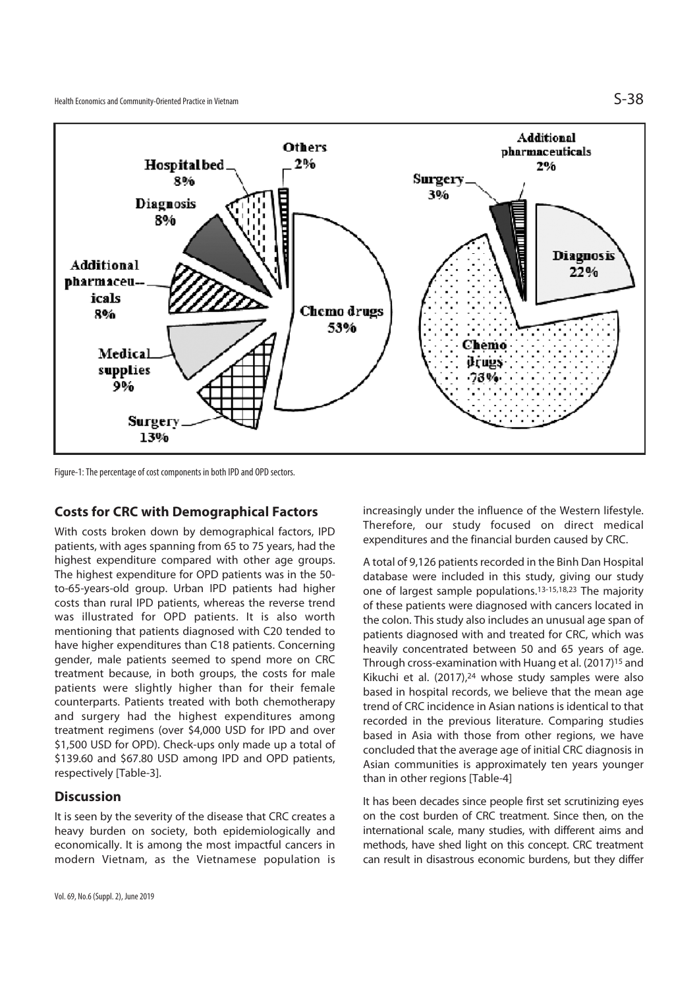

Figure-1: The percentage of cost components in both IPD and OPD sectors.

#### **Costs for CRC with Demographical Factors**

With costs broken down by demographical factors, IPD patients, with ages spanning from 65 to 75 years, had the highest expenditure compared with other age groups. The highest expenditure for OPD patients was in the 50 to-65-years-old group. Urban IPD patients had higher costs than rural IPD patients, whereas the reverse trend was illustrated for OPD patients. It is also worth mentioning that patients diagnosed with C20 tended to have higher expenditures than C18 patients. Concerning gender, male patients seemed to spend more on CRC treatment because, in both groups, the costs for male patients were slightly higher than for their female counterparts. Patients treated with both chemotherapy and surgery had the highest expenditures among treatment regimens (over \$4,000 USD for IPD and over \$1,500 USD for OPD). Check-ups only made up a total of \$139.60 and \$67.80 USD among IPD and OPD patients, respectively [Table-3].

#### **Discussion**

It is seen by the severity of the disease that CRC creates a heavy burden on society, both epidemiologically and economically. It is among the most impactful cancers in modern Vietnam, as the Vietnamese population is increasingly under the influence of the Western lifestyle. Therefore, our study focused on direct medical expenditures and the financial burden caused by CRC.

A total of 9,126 patients recorded in the Binh Dan Hospital database were included in this study, giving our study one of largest sample populations.13-15,18,23 The majority of these patients were diagnosed with cancers located in the colon. This study also includes an unusual age span of patients diagnosed with and treated for CRC, which was heavily concentrated between 50 and 65 years of age. Through cross-examination with Huang et al. (2017)15 and Kikuchi et al. (2017),24 whose study samples were also based in hospital records, we believe that the mean age trend of CRC incidence in Asian nations is identical to that recorded in the previous literature. Comparing studies based in Asia with those from other regions, we have concluded that the average age of initial CRC diagnosis in Asian communities is approximately ten years younger than in other regions [Table-4]

It has been decades since people first set scrutinizing eyes on the cost burden of CRC treatment. Since then, on the international scale, many studies, with different aims and methods, have shed light on this concept. CRC treatment can result in disastrous economic burdens, but they differ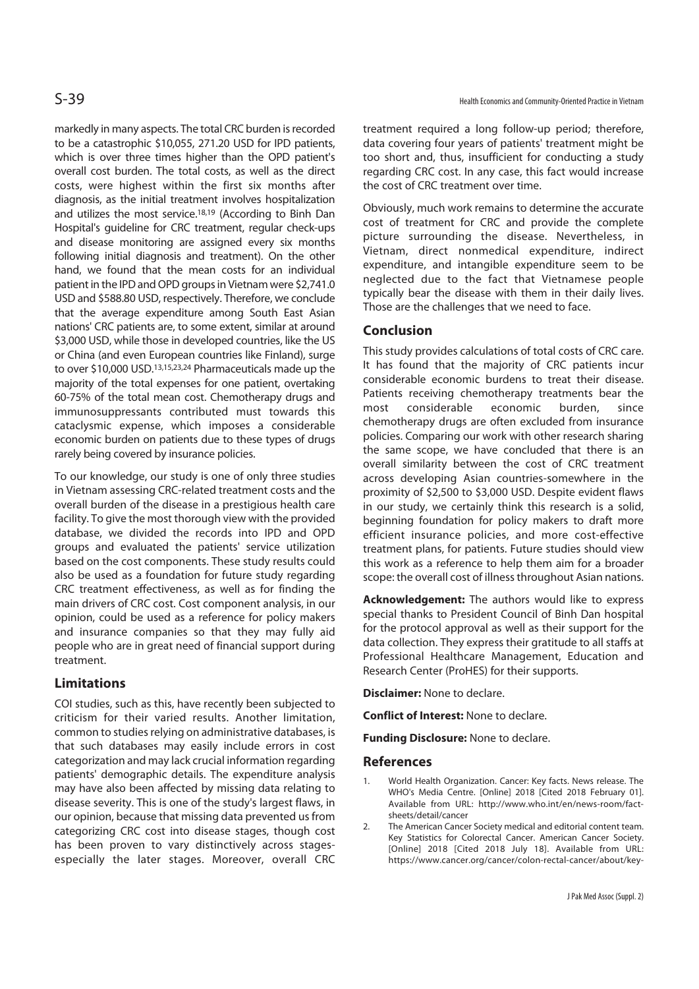markedly in many aspects. The total CRC burden is recorded to be a catastrophic \$10,055, 271.20 USD for IPD patients, which is over three times higher than the OPD patient's overall cost burden. The total costs, as well as the direct costs, were highest within the first six months after diagnosis, as the initial treatment involves hospitalization and utilizes the most service.18,19 (According to Binh Dan Hospital's guideline for CRC treatment, regular check-ups and disease monitoring are assigned every six months following initial diagnosis and treatment). On the other hand, we found that the mean costs for an individual patient in the IPD and OPD groups in Vietnam were \$2,741.0 USD and \$588.80 USD, respectively. Therefore, we conclude that the average expenditure among South East Asian nations' CRC patients are, to some extent, similar at around \$3,000 USD, while those in developed countries, like the US or China (and even European countries like Finland), surge to over \$10,000 USD.13,15,23,24 Pharmaceuticals made up the majority of the total expenses for one patient, overtaking 60-75% of the total mean cost. Chemotherapy drugs and immunosuppressants contributed must towards this cataclysmic expense, which imposes a considerable economic burden on patients due to these types of drugs rarely being covered by insurance policies.

To our knowledge, our study is one of only three studies in Vietnam assessing CRC-related treatment costs and the overall burden of the disease in a prestigious health care facility. To give the most thorough view with the provided database, we divided the records into IPD and OPD groups and evaluated the patients' service utilization based on the cost components. These study results could also be used as a foundation for future study regarding CRC treatment effectiveness, as well as for finding the main drivers of CRC cost. Cost component analysis, in our opinion, could be used as a reference for policy makers and insurance companies so that they may fully aid people who are in great need of financial support during treatment.

### **Limitations**

COI studies, such as this, have recently been subjected to criticism for their varied results. Another limitation, common to studies relying on administrative databases, is that such databases may easily include errors in cost categorization and may lack crucial information regarding patients' demographic details. The expenditure analysis may have also been affected by missing data relating to disease severity. This is one of the study's largest flaws, in our opinion, because that missing data prevented us from categorizing CRC cost into disease stages, though cost has been proven to vary distinctively across stagesespecially the later stages. Moreover, overall CRC

treatment required a long follow-up period; therefore, data covering four years of patients' treatment might be too short and, thus, insufficient for conducting a study regarding CRC cost. In any case, this fact would increase the cost of CRC treatment over time.

Obviously, much work remains to determine the accurate cost of treatment for CRC and provide the complete picture surrounding the disease. Nevertheless, in Vietnam, direct nonmedical expenditure, indirect expenditure, and intangible expenditure seem to be neglected due to the fact that Vietnamese people typically bear the disease with them in their daily lives. Those are the challenges that we need to face.

## **Conclusion**

This study provides calculations of total costs of CRC care. It has found that the majority of CRC patients incur considerable economic burdens to treat their disease. Patients receiving chemotherapy treatments bear the most considerable economic burden, since chemotherapy drugs are often excluded from insurance policies. Comparing our work with other research sharing the same scope, we have concluded that there is an overall similarity between the cost of CRC treatment across developing Asian countries-somewhere in the proximity of \$2,500 to \$3,000 USD. Despite evident flaws in our study, we certainly think this research is a solid, beginning foundation for policy makers to draft more efficient insurance policies, and more cost-effective treatment plans, for patients. Future studies should view this work as a reference to help them aim for a broader scope: the overall cost of illness throughout Asian nations.

**Acknowledgement:** The authors would like to express special thanks to President Council of Binh Dan hospital for the protocol approval as well as their support for the data collection. They express their gratitude to all staffs at Professional Healthcare Management, Education and Research Center (ProHES) for their supports.

**Disclaimer:** None to declare.

**Conflict of Interest:** None to declare.

**Funding Disclosure:** None to declare.

### **References**

- 1. World Health Organization. Cancer: Key facts. News release. The WHO's Media Centre. [Online] 2018 [Cited 2018 February 01]. Available from URL: http://www.who.int/en/news-room/factsheets/detail/cancer
- 2. The American Cancer Society medical and editorial content team. Key Statistics for Colorectal Cancer. American Cancer Society. [Online] 2018 [Cited 2018 July 18]. Available from URL: https://www.cancer.org/cancer/colon-rectal-cancer/about/key-